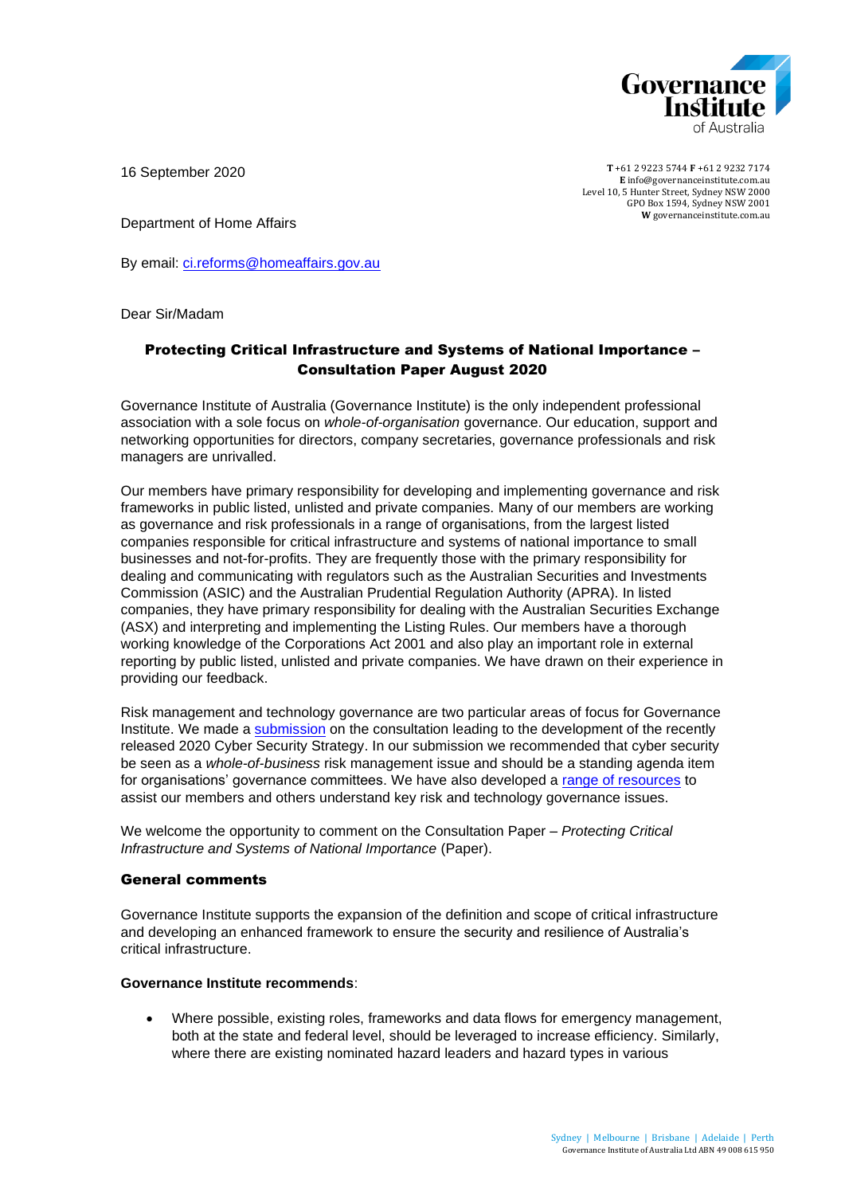

16 September 2020

**T** +61 2 9223 5744 **F** +61 2 9232 7174 **E** [info@governanceinstitute.com.au](mailto:info@governanceinstitute.com.au) Level 10, 5 Hunter Street, Sydney NSW 2000 GPO Box 1594, Sydney NSW 2001 **W** governanceinstitute.com.au

Department of Home Affairs

By email: [ci.reforms@homeaffairs.gov.au](mailto:ci.reforms@homeaffairs.gov.au)

Dear Sir/Madam

# Protecting Critical Infrastructure and Systems of National Importance – Consultation Paper August 2020

Governance Institute of Australia (Governance Institute) is the only independent professional association with a sole focus on *whole-of-organisation* governance. Our education, support and networking opportunities for directors, company secretaries, governance professionals and risk managers are unrivalled.

Our members have primary responsibility for developing and implementing governance and risk frameworks in public listed, unlisted and private companies. Many of our members are working as governance and risk professionals in a range of organisations, from the largest listed companies responsible for critical infrastructure and systems of national importance to small businesses and not-for-profits. They are frequently those with the primary responsibility for dealing and communicating with regulators such as the Australian Securities and Investments Commission (ASIC) and the Australian Prudential Regulation Authority (APRA). In listed companies, they have primary responsibility for dealing with the Australian Securities Exchange (ASX) and interpreting and implementing the Listing Rules. Our members have a thorough working knowledge of the Corporations Act 2001 and also play an important role in external reporting by public listed, unlisted and private companies. We have drawn on their experience in providing our feedback.

Risk management and technology governance are two particular areas of focus for Governance Institute. We made a [submission](https://www.governanceinstitute.com.au/advocacy/submissions/2019/) on the consultation leading to the development of the recently released 2020 Cyber Security Strategy. In our submission we recommended that cyber security be seen as a *whole-of-business* risk management issue and should be a standing agenda item for organisations' governance committees. We have also developed a [range of resources](https://www.governanceinstitute.com.au/resources/good-governance-guides-free-starter-packs/risk-and-technology-starter-pack/) to assist our members and others understand key risk and technology governance issues.

We welcome the opportunity to comment on the Consultation Paper – *Protecting Critical Infrastructure and Systems of National Importance* (Paper).

#### General comments

Governance Institute supports the expansion of the definition and scope of critical infrastructure and developing an enhanced framework to ensure the security and resilience of Australia's critical infrastructure.

#### **Governance Institute recommends**:

• Where possible, existing roles, frameworks and data flows for emergency management, both at the state and federal level, should be leveraged to increase efficiency. Similarly, where there are existing nominated hazard leaders and hazard types in various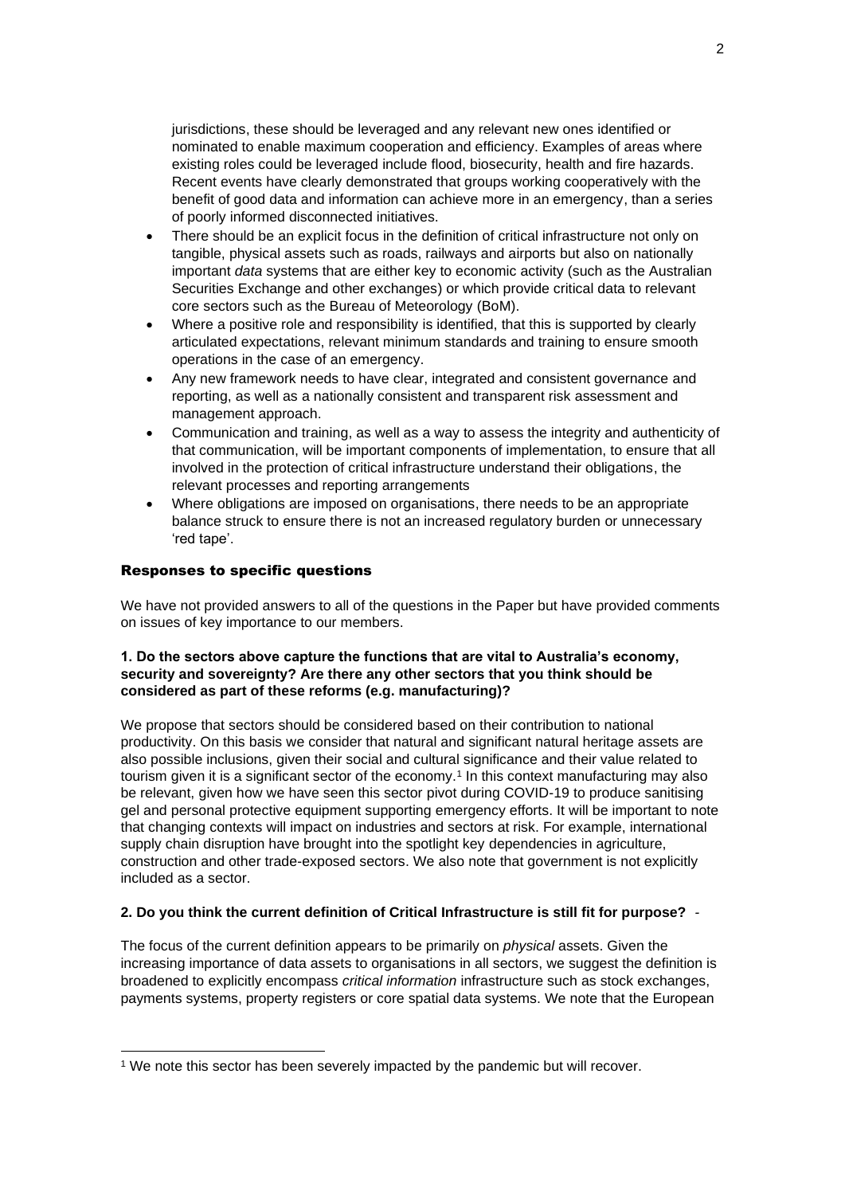jurisdictions, these should be leveraged and any relevant new ones identified or nominated to enable maximum cooperation and efficiency. Examples of areas where existing roles could be leveraged include flood, biosecurity, health and fire hazards. Recent events have clearly demonstrated that groups working cooperatively with the benefit of good data and information can achieve more in an emergency, than a series of poorly informed disconnected initiatives.

- There should be an explicit focus in the definition of critical infrastructure not only on tangible, physical assets such as roads, railways and airports but also on nationally important *data* systems that are either key to economic activity (such as the Australian Securities Exchange and other exchanges) or which provide critical data to relevant core sectors such as the Bureau of Meteorology (BoM).
- Where a positive role and responsibility is identified, that this is supported by clearly articulated expectations, relevant minimum standards and training to ensure smooth operations in the case of an emergency.
- Any new framework needs to have clear, integrated and consistent governance and reporting, as well as a nationally consistent and transparent risk assessment and management approach.
- Communication and training, as well as a way to assess the integrity and authenticity of that communication, will be important components of implementation, to ensure that all involved in the protection of critical infrastructure understand their obligations, the relevant processes and reporting arrangements
- Where obligations are imposed on organisations, there needs to be an appropriate balance struck to ensure there is not an increased regulatory burden or unnecessary 'red tape'.

# Responses to specific questions

We have not provided answers to all of the questions in the Paper but have provided comments on issues of key importance to our members.

# **1. Do the sectors above capture the functions that are vital to Australia's economy, security and sovereignty? Are there any other sectors that you think should be considered as part of these reforms (e.g. manufacturing)?**

We propose that sectors should be considered based on their contribution to national productivity. On this basis we consider that natural and significant natural heritage assets are also possible inclusions, given their social and cultural significance and their value related to tourism given it is a significant sector of the economy.<sup>1</sup> In this context manufacturing may also be relevant, given how we have seen this sector pivot during COVID-19 to produce sanitising gel and personal protective equipment supporting emergency efforts. It will be important to note that changing contexts will impact on industries and sectors at risk. For example, international supply chain disruption have brought into the spotlight key dependencies in agriculture, construction and other trade-exposed sectors. We also note that government is not explicitly included as a sector.

# **2. Do you think the current definition of Critical Infrastructure is still fit for purpose?** *-*

The focus of the current definition appears to be primarily on *physical* assets. Given the increasing importance of data assets to organisations in all sectors, we suggest the definition is broadened to explicitly encompass *critical information* infrastructure such as stock exchanges, payments systems, property registers or core spatial data systems. We note that the European

<sup>1</sup> We note this sector has been severely impacted by the pandemic but will recover.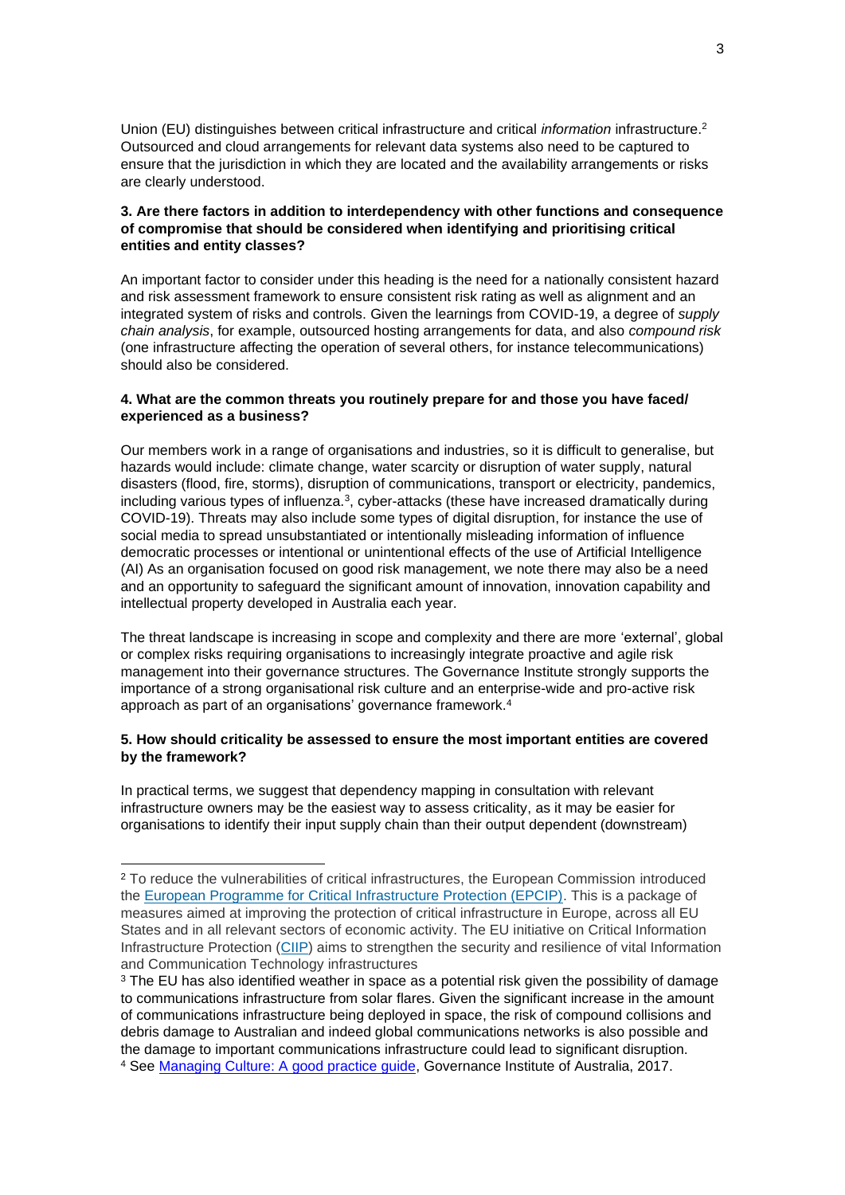Union (EU) distinguishes between critical infrastructure and critical *information* infrastructure.<sup>2</sup> Outsourced and cloud arrangements for relevant data systems also need to be captured to ensure that the jurisdiction in which they are located and the availability arrangements or risks are clearly understood.

# **3. Are there factors in addition to interdependency with other functions and consequence of compromise that should be considered when identifying and prioritising critical entities and entity classes?**

An important factor to consider under this heading is the need for a nationally consistent hazard and risk assessment framework to ensure consistent risk rating as well as alignment and an integrated system of risks and controls. Given the learnings from COVID-19, a degree of *supply chain analysis*, for example, outsourced hosting arrangements for data, and also *compound risk* (one infrastructure affecting the operation of several others, for instance telecommunications) should also be considered.

# **4. What are the common threats you routinely prepare for and those you have faced/ experienced as a business?**

Our members work in a range of organisations and industries, so it is difficult to generalise, but hazards would include: climate change, water scarcity or disruption of water supply, natural disasters (flood, fire, storms), disruption of communications, transport or electricity, pandemics, including various types of influenza.<sup>3</sup>, cyber-attacks (these have increased dramatically during COVID-19). Threats may also include some types of digital disruption, for instance the use of social media to spread unsubstantiated or intentionally misleading information of influence democratic processes or intentional or unintentional effects of the use of Artificial Intelligence (AI) As an organisation focused on good risk management, we note there may also be a need and an opportunity to safeguard the significant amount of innovation, innovation capability and intellectual property developed in Australia each year.

The threat landscape is increasing in scope and complexity and there are more 'external', global or complex risks requiring organisations to increasingly integrate proactive and agile risk management into their governance structures. The Governance Institute strongly supports the importance of a strong organisational risk culture and an enterprise-wide and pro-active risk approach as part of an organisations' governance framework.<sup>4</sup>

## **5. How should criticality be assessed to ensure the most important entities are covered by the framework?**

In practical terms, we suggest that dependency mapping in consultation with relevant infrastructure owners may be the easiest way to assess criticality, as it may be easier for organisations to identify their input supply chain than their output dependent (downstream)

<sup>&</sup>lt;sup>2</sup> To reduce the vulnerabilities of critical infrastructures, the European Commission introduced the [European Programme for Critical Infrastructure Protection \(EPCIP\).](http://eur-lex.europa.eu/LexUriServ/LexUriServ.do?uri=COM:2006:0786:FIN:EN:PDF) This is a package of measures aimed at improving the protection of critical infrastructure in Europe, across all EU States and in all relevant sectors of economic activity. The EU initiative on Critical Information Infrastructure Protection [\(CIIP\)](https://ec.europa.eu/digital-single-market/en/news/policy-critical-information-infrastructure-protection-ciip) aims to strengthen the security and resilience of vital Information and Communication Technology infrastructures

<sup>&</sup>lt;sup>3</sup> The EU has also identified weather in space as a potential risk given the possibility of damage to communications infrastructure from solar flares. Given the significant increase in the amount of communications infrastructure being deployed in space, the risk of compound collisions and debris damage to Australian and indeed global communications networks is also possible and the damage to important communications infrastructure could lead to significant disruption. <sup>4</sup> See [Managing Culture: A good practice guide,](https://www.governanceinstitute.com.au/resources/resource-centre/?Keywords=Managing+culture+A+good+practice+guide) Governance Institute of Australia, 2017.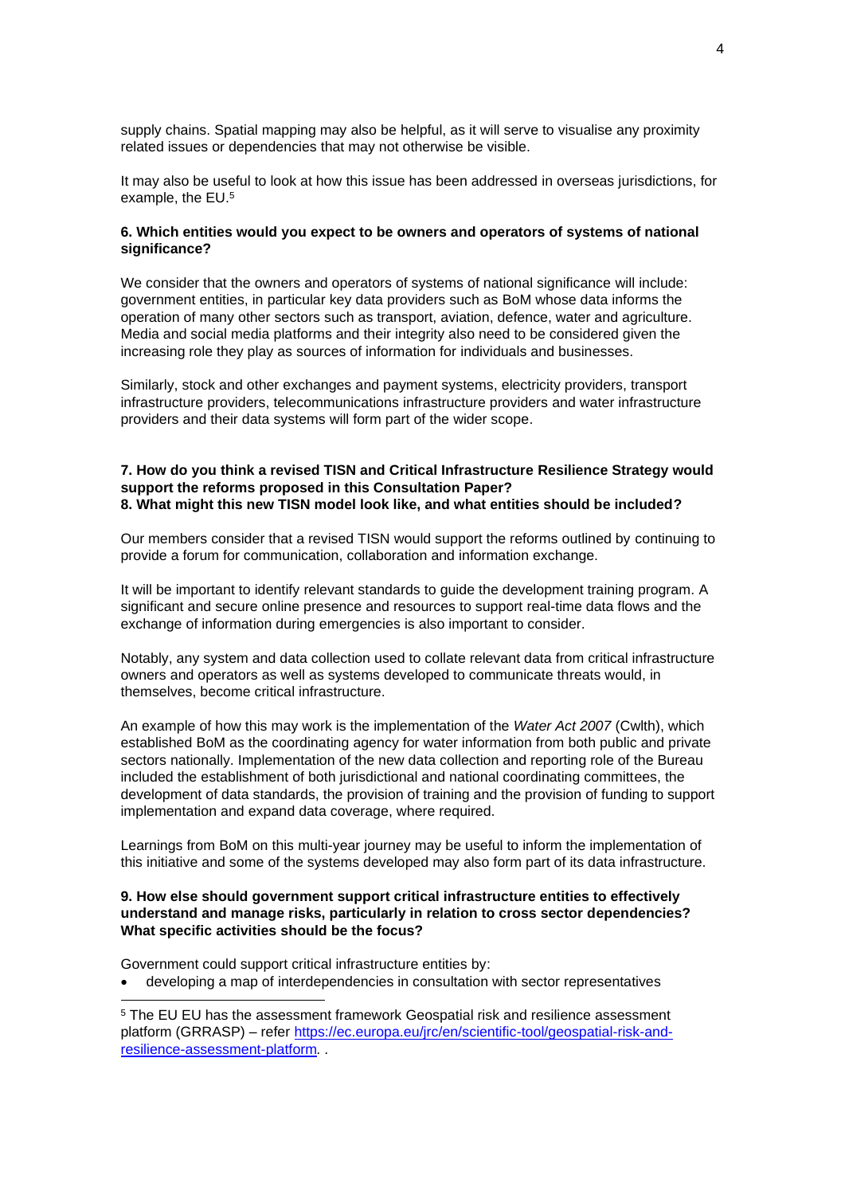supply chains. Spatial mapping may also be helpful, as it will serve to visualise any proximity related issues or dependencies that may not otherwise be visible.

It may also be useful to look at how this issue has been addressed in overseas jurisdictions, for example, the EU. 5

### **6. Which entities would you expect to be owners and operators of systems of national significance?**

We consider that the owners and operators of systems of national significance will include: government entities, in particular key data providers such as BoM whose data informs the operation of many other sectors such as transport, aviation, defence, water and agriculture. Media and social media platforms and their integrity also need to be considered given the increasing role they play as sources of information for individuals and businesses.

Similarly, stock and other exchanges and payment systems, electricity providers, transport infrastructure providers, telecommunications infrastructure providers and water infrastructure providers and their data systems will form part of the wider scope.

#### **7. How do you think a revised TISN and Critical Infrastructure Resilience Strategy would support the reforms proposed in this Consultation Paper? 8. What might this new TISN model look like, and what entities should be included?**

Our members consider that a revised TISN would support the reforms outlined by continuing to provide a forum for communication, collaboration and information exchange.

It will be important to identify relevant standards to guide the development training program. A significant and secure online presence and resources to support real-time data flows and the exchange of information during emergencies is also important to consider.

Notably, any system and data collection used to collate relevant data from critical infrastructure owners and operators as well as systems developed to communicate threats would, in themselves, become critical infrastructure.

An example of how this may work is the implementation of the *Water Act 2007* (Cwlth), which established BoM as the coordinating agency for water information from both public and private sectors nationally. Implementation of the new data collection and reporting role of the Bureau included the establishment of both jurisdictional and national coordinating committees, the development of data standards, the provision of training and the provision of funding to support implementation and expand data coverage, where required.

Learnings from BoM on this multi-year journey may be useful to inform the implementation of this initiative and some of the systems developed may also form part of its data infrastructure.

## **9. How else should government support critical infrastructure entities to effectively understand and manage risks, particularly in relation to cross sector dependencies? What specific activities should be the focus?**

Government could support critical infrastructure entities by:

• developing a map of interdependencies in consultation with sector representatives

<sup>5</sup> The EU EU has the assessment framework Geospatial risk and resilience assessment platform (GRRASP) – refer [https://ec.europa.eu/jrc/en/scientific-tool/geospatial-risk-and](https://ec.europa.eu/jrc/en/scientific-tool/geospatial-risk-and-resilience-assessment-platform)[resilience-assessment-platform](https://ec.europa.eu/jrc/en/scientific-tool/geospatial-risk-and-resilience-assessment-platform)*. .*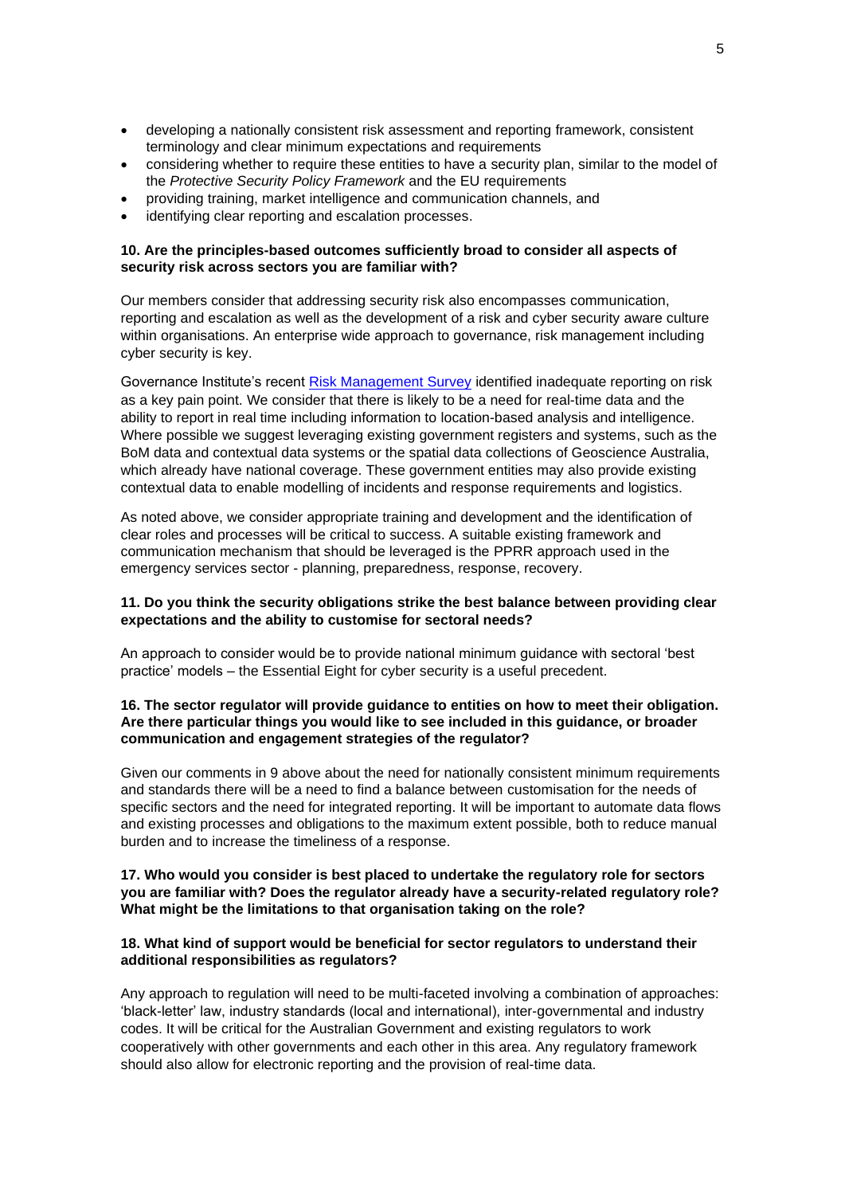- developing a nationally consistent risk assessment and reporting framework, consistent terminology and clear minimum expectations and requirements
- considering whether to require these entities to have a security plan, similar to the model of the *Protective Security Policy Framework* and the EU requirements
- providing training, market intelligence and communication channels, and
- identifying clear reporting and escalation processes.

### **10. Are the principles-based outcomes sufficiently broad to consider all aspects of security risk across sectors you are familiar with?**

Our members consider that addressing security risk also encompasses communication, reporting and escalation as well as the development of a risk and cyber security aware culture within organisations. An enterprise wide approach to governance, risk management including cyber security is key.

Governance Institute's recent [Risk Management Survey](https://www.governanceinstitute.com.au/advocacy/survey-reports/risk-management-survey-2020/) identified inadequate reporting on risk as a key pain point. We consider that there is likely to be a need for real-time data and the ability to report in real time including information to location-based analysis and intelligence. Where possible we suggest leveraging existing government registers and systems, such as the BoM data and contextual data systems or the spatial data collections of Geoscience Australia, which already have national coverage. These government entities may also provide existing contextual data to enable modelling of incidents and response requirements and logistics.

As noted above, we consider appropriate training and development and the identification of clear roles and processes will be critical to success. A suitable existing framework and communication mechanism that should be leveraged is the PPRR approach used in the emergency services sector - planning, preparedness, response, recovery.

# **11. Do you think the security obligations strike the best balance between providing clear expectations and the ability to customise for sectoral needs?**

An approach to consider would be to provide national minimum guidance with sectoral 'best practice' models – the Essential Eight for cyber security is a useful precedent.

## **16. The sector regulator will provide guidance to entities on how to meet their obligation. Are there particular things you would like to see included in this guidance, or broader communication and engagement strategies of the regulator?**

Given our comments in 9 above about the need for nationally consistent minimum requirements and standards there will be a need to find a balance between customisation for the needs of specific sectors and the need for integrated reporting. It will be important to automate data flows and existing processes and obligations to the maximum extent possible, both to reduce manual burden and to increase the timeliness of a response.

### **17. Who would you consider is best placed to undertake the regulatory role for sectors you are familiar with? Does the regulator already have a security-related regulatory role? What might be the limitations to that organisation taking on the role?**

## **18. What kind of support would be beneficial for sector regulators to understand their additional responsibilities as regulators?**

Any approach to regulation will need to be multi-faceted involving a combination of approaches: 'black-letter' law, industry standards (local and international), inter-governmental and industry codes. It will be critical for the Australian Government and existing regulators to work cooperatively with other governments and each other in this area. Any regulatory framework should also allow for electronic reporting and the provision of real-time data.